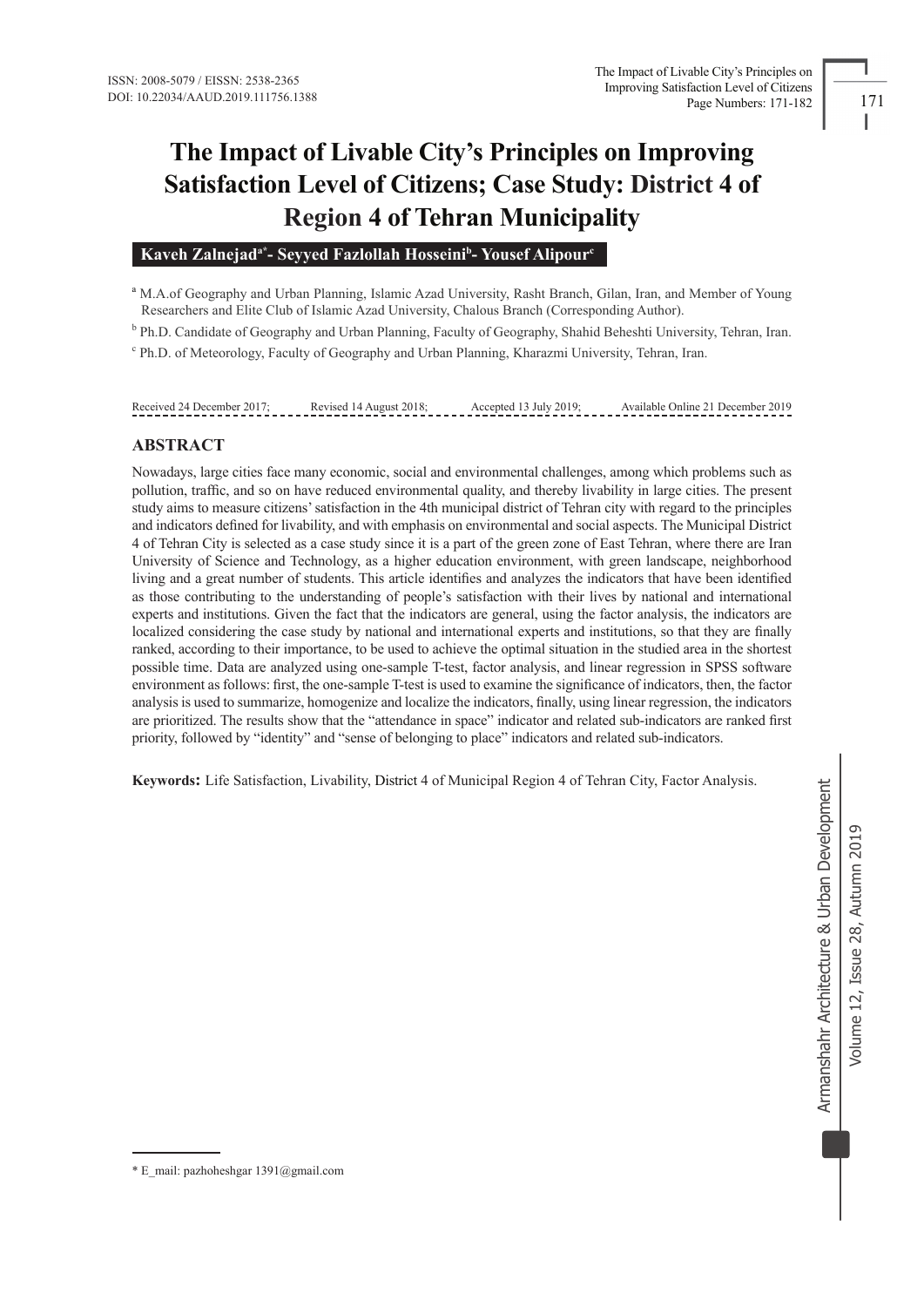# **The Impact of Livable City's Principles on Improving Satisfaction Level of Citizens; Case Study: District 4 of Region 4 of Tehran Municipality**

## Kaveh Zalnejad<sup>a\*</sup> - Seyyed Fazlollah Hosseini<sup>b</sup> - Yousef Alipour<sup>c</sup>

<sup>a</sup> M.A.of Geography and Urban Planning, Islamic Azad University, Rasht Branch, Gilan, Iran, and Member of Young BResearchers and Elite Club of Islamic Azad University, Chalous Branch (Corresponding Author).

<sup>b</sup> Ph.D. Candidate of Geography and Urban Planning, Faculty of Geography, Shahid Beheshti University, Tehran, Iran.

c Ph.D. of Meteorology, Faculty of Geography and Urban Planning, Kharazmi University, Tehran, Iran.

#### Received 24 December 2017; Revised 14 August 2018; Accepted 13 July 2019; Available Online 21 December 2019

## **ABSTRACT**

Nowadays, large cities face many economic, social and environmental challenges, among which problems such as pollution, traffic, and so on have reduced environmental quality, and thereby livability in large cities. The present study aims to measure citizens' satisfaction in the 4th municipal district of Tehran city with regard to the principles and indicators defined for livability, and with emphasis on environmental and social aspects. The Municipal District 4 of Tehran City is selected as a case study since it is a part of the green zone of East Tehran, where there are Iran University of Science and Technology, as a higher education environment, with green landscape, neighborhood living and a great number of students. This article identifies and analyzes the indicators that have been identified as those contributing to the understanding of people's satisfaction with their lives by national and international experts and institutions. Given the fact that the indicators are general, using the factor analysis, the indicators are localized considering the case study by national and international experts and institutions, so that they are finally ranked, according to their importance, to be used to achieve the optimal situation in the studied area in the shortest possible time. Data are analyzed using one-sample T-test, factor analysis, and linear regression in SPSS software environment as follows: first, the one-sample T-test is used to examine the significance of indicators, then, the factor analysis is used to summarize, homogenize and localize the indicators, finally, using linear regression, the indicators are prioritized. The results show that the "attendance in space" indicator and related sub-indicators are ranked first priority, followed by "identity" and "sense of belonging to place" indicators and related sub-indicators.

**Keywords:** Life Satisfaction, Livability, District 4 of Municipal Region 4 of Tehran City, Factor Analysis.

<sup>\*</sup> E\_mail: pazhoheshgar 1391@gmail.com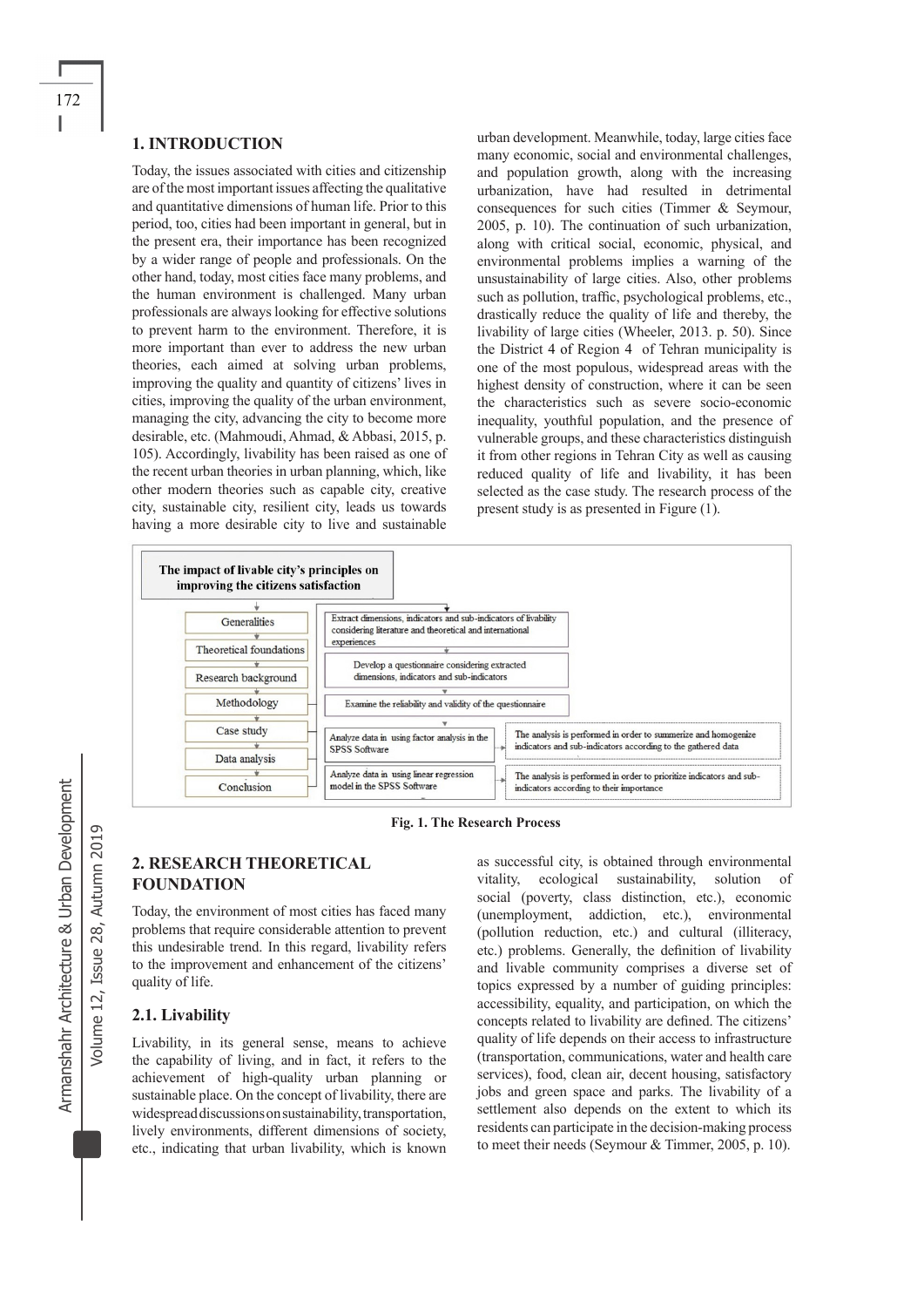#### **1. INTRODUCTION**

Today, the issues associated with cities and citizenship are of the most important issues affecting the qualitative and quantitative dimensions of human life. Prior to this period, too, cities had been important in general, but in the present era, their importance has been recognized by a wider range of people and professionals. On the other hand, today, most cities face many problems, and the human environment is challenged. Many urban professionals are always looking for effective solutions to prevent harm to the environment. Therefore, it is more important than ever to address the new urban theories, each aimed at solving urban problems, improving the quality and quantity of citizens' lives in cities, improving the quality of the urban environment, managing the city, advancing the city to become more desirable, etc. (Mahmoudi, Ahmad, & Abbasi, 2015, p. 105). Accordingly, livability has been raised as one of the recent urban theories in urban planning, which, like other modern theories such as capable city, creative city, sustainable city, resilient city, leads us towards having a more desirable city to live and sustainable

urban development. Meanwhile, today, large cities face many economic, social and environmental challenges, and population growth, along with the increasing urbanization, have had resulted in detrimental consequences for such cities (Timmer & Seymour, 2005, p. 10). The continuation of such urbanization, along with critical social, economic, physical, and environmental problems implies a warning of the unsustainability of large cities. Also, other problems such as pollution, traffic, psychological problems, etc., drastically reduce the quality of life and thereby, the livability of large cities (Wheeler, 2013. p. 50). Since the District 4 of Region 4 of Tehran municipality is one of the most populous, widespread areas with the highest density of construction, where it can be seen the characteristics such as severe socio-economic inequality, youthful population, and the presence of vulnerable groups, and these characteristics distinguish it from other regions in Tehran City as well as causing reduced quality of life and livability, it has been selected as the case study. The research process of the present study is as presented in Figure (1).



 **Fig. 1. The Research Process** 

# **2. RESEARCH THEORETICAL FOUNDATION**

Today, the environment of most cities has faced many problems that require considerable attention to prevent this undesirable trend. In this regard, livability refers to the improvement and enhancement of the citizens' quality of life.

## **2.1. Livability**

Livability, in its general sense, means to achieve the capability of living, and in fact, it refers to the achievement of high-quality urban planning or sustainable place. On the concept of livability, there are widespread discussions on sustainability, transportation, lively environments, different dimensions of society, etc., indicating that urban livability, which is known

as successful city, is obtained through environmental vitality, ecological sustainability, solution of social (poverty, class distinction, etc.), economic (unemployment, addiction, etc.), environmental (pollution reduction, etc.) and cultural (illiteracy, etc.) problems. Generally, the definition of livability and livable community comprises a diverse set of topics expressed by a number of guiding principles: accessibility, equality, and participation, on which the concepts related to livability are defined. The citizens' quality of life depends on their access to infrastructure (transportation, communications, water and health care services), food, clean air, decent housing, satisfactory jobs and green space and parks. The livability of a settlement also depends on the extent to which its residents can participate in the decision-making process to meet their needs (Seymour & Timmer, 2005, p. 10).

Volume 12, Issue 28, Autumn 2019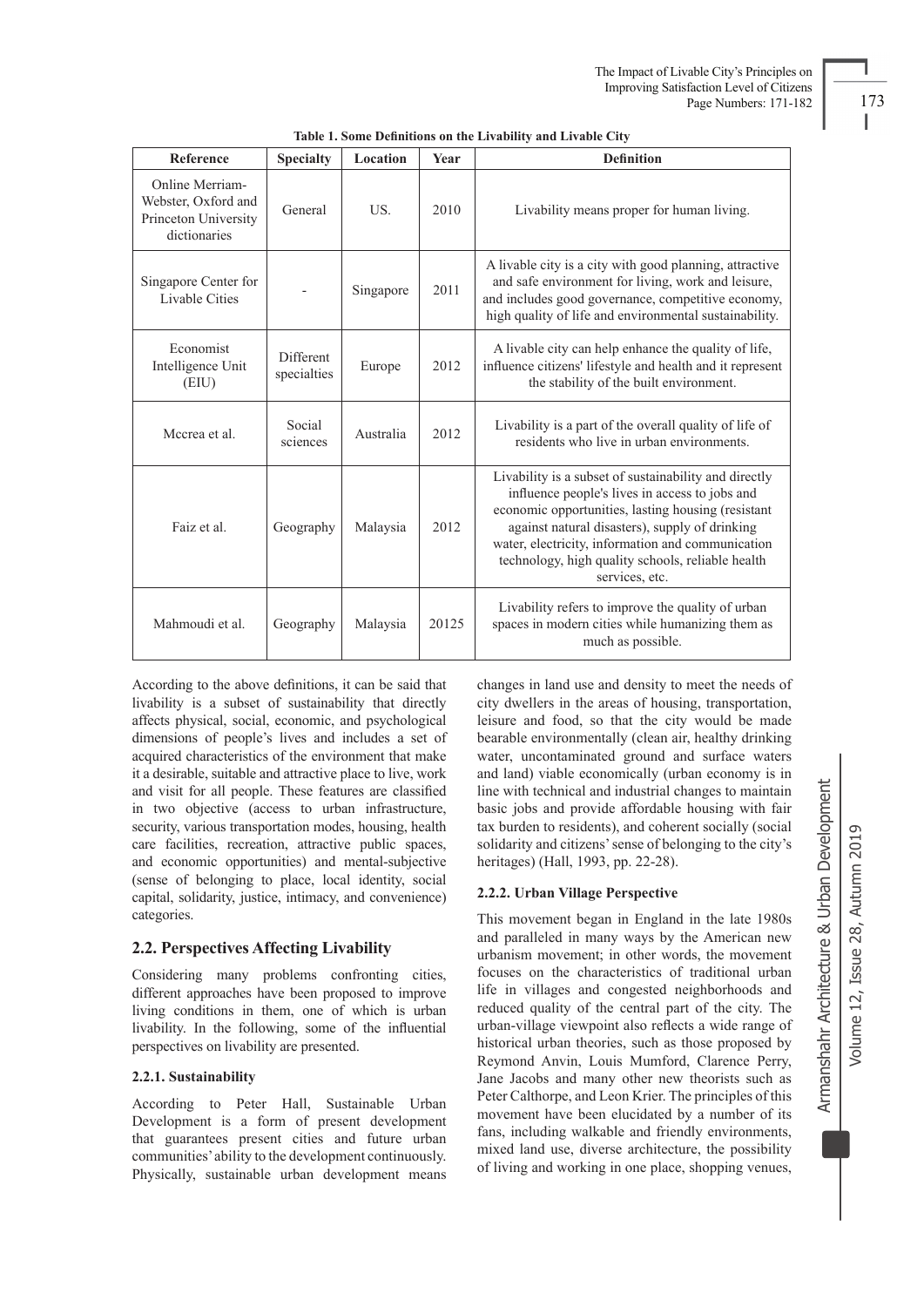| Reference                                                                      | <b>Specialty</b>                                | Location  | Year                                                                                                                                                                                                                                                                                                                      | <b>Definition</b>                                                                                                                                            |  |  |  |
|--------------------------------------------------------------------------------|-------------------------------------------------|-----------|---------------------------------------------------------------------------------------------------------------------------------------------------------------------------------------------------------------------------------------------------------------------------------------------------------------------------|--------------------------------------------------------------------------------------------------------------------------------------------------------------|--|--|--|
| Online Merriam-<br>Webster, Oxford and<br>Princeton University<br>dictionaries | General                                         | US.       | 2010                                                                                                                                                                                                                                                                                                                      | Livability means proper for human living.                                                                                                                    |  |  |  |
| Singapore Center for<br><b>Livable Cities</b>                                  |                                                 | Singapore | A livable city is a city with good planning, attractive<br>and safe environment for living, work and leisure,<br>2011<br>and includes good governance, competitive economy,<br>high quality of life and environmental sustainability.                                                                                     |                                                                                                                                                              |  |  |  |
| Economist<br>Intelligence Unit<br>(EIU)                                        | Different<br>specialties                        | Europe    | 2012                                                                                                                                                                                                                                                                                                                      | A livable city can help enhance the quality of life,<br>influence citizens' lifestyle and health and it represent<br>the stability of the built environment. |  |  |  |
| Mccrea et al.                                                                  | Social<br>sciences                              | Australia | 2012                                                                                                                                                                                                                                                                                                                      | Livability is a part of the overall quality of life of<br>residents who live in urban environments.                                                          |  |  |  |
| Faiz et al.                                                                    | 2012<br>Geography<br>Malaysia<br>services, etc. |           | Livability is a subset of sustainability and directly<br>influence people's lives in access to jobs and<br>economic opportunities, lasting housing (resistant<br>against natural disasters), supply of drinking<br>water, electricity, information and communication<br>technology, high quality schools, reliable health |                                                                                                                                                              |  |  |  |
| Mahmoudi et al.                                                                | Geography                                       | Malaysia  | 20125                                                                                                                                                                                                                                                                                                                     | Livability refers to improve the quality of urban<br>spaces in modern cities while humanizing them as<br>much as possible.                                   |  |  |  |

According to the above definitions, it can be said that livability is a subset of sustainability that directly affects physical, social, economic, and psychological dimensions of people's lives and includes a set of acquired characteristics of the environment that make it a desirable, suitable and attractive place to live, work and visit for all people. These features are classified in two objective (access to urban infrastructure, security, various transportation modes, housing, health care facilities, recreation, attractive public spaces, and economic opportunities) and mental-subjective (sense of belonging to place, local identity, social capital, solidarity, justice, intimacy, and convenience) categories.

## **2.2. Perspectives Affecting Livability**

Considering many problems confronting cities, different approaches have been proposed to improve living conditions in them, one of which is urban livability. In the following, some of the influential perspectives on livability are presented.

## **2.2.1. Sustainability**

According to Peter Hall, Sustainable Urban Development is a form of present development that guarantees present cities and future urban communities' ability to the development continuously. Physically, sustainable urban development means changes in land use and density to meet the needs of city dwellers in the areas of housing, transportation, leisure and food, so that the city would be made bearable environmentally (clean air, healthy drinking water, uncontaminated ground and surface waters and land) viable economically (urban economy is in line with technical and industrial changes to maintain basic jobs and provide affordable housing with fair tax burden to residents), and coherent socially (social solidarity and citizens' sense of belonging to the city's heritages) (Hall, 1993, pp. 22-28).

#### **2.2.2. Urban Village Perspective**

This movement began in England in the late 1980s and paralleled in many ways by the American new urbanism movement; in other words, the movement focuses on the characteristics of traditional urban life in villages and congested neighborhoods and reduced quality of the central part of the city. The urban-village viewpoint also reflects a wide range of historical urban theories, such as those proposed by Reymond Anvin, Louis Mumford, Clarence Perry, Jane Jacobs and many other new theorists such as Peter Calthorpe, and Leon Krier. The principles of this movement have been elucidated by a number of its fans, including walkable and friendly environments, mixed land use, diverse architecture, the possibility of living and working in one place, shopping venues, Armanshahr Architecture & Urban Development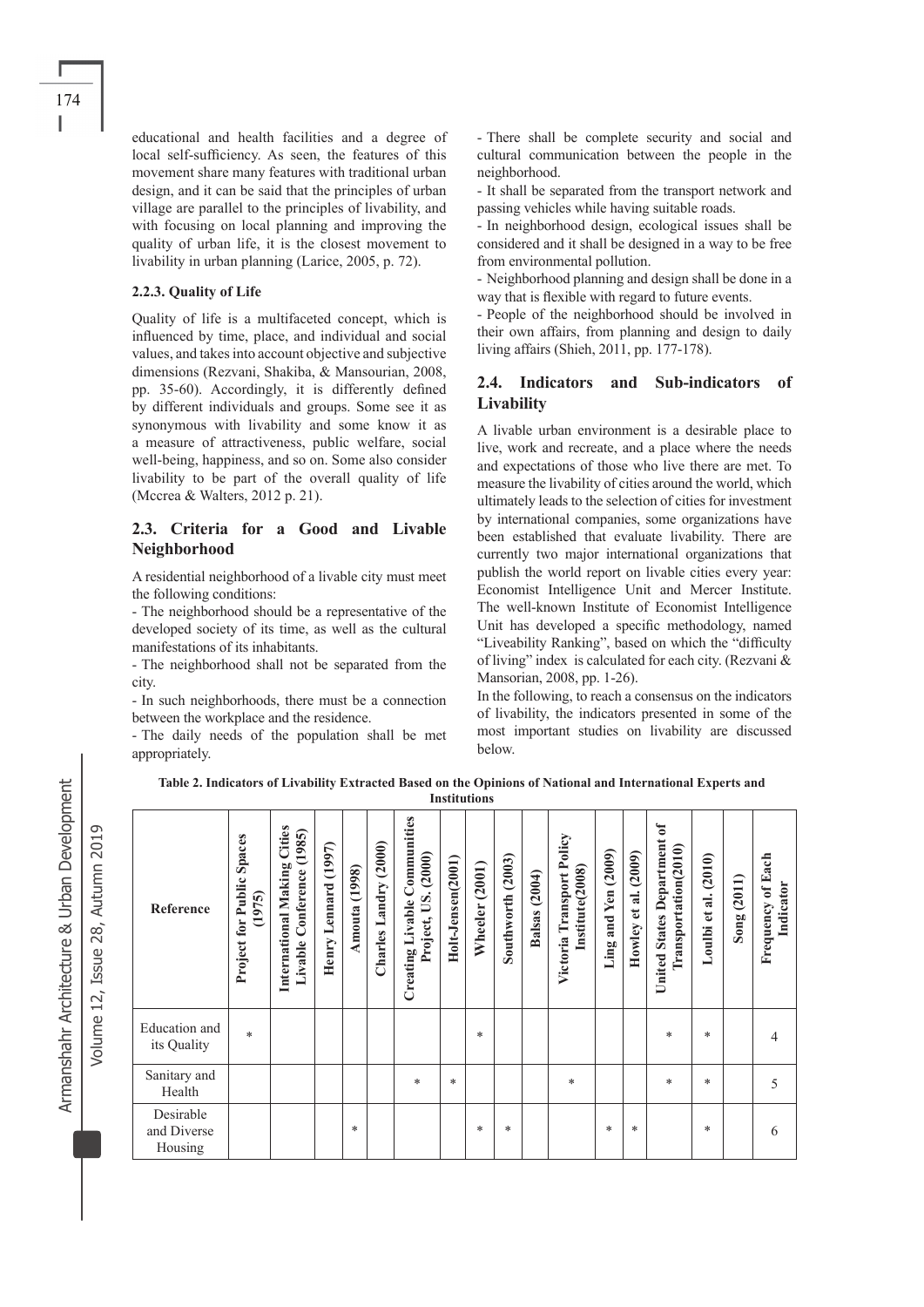educational and health facilities and a degree of local self-sufficiency. As seen, the features of this movement share many features with traditional urban design, and it can be said that the principles of urban village are parallel to the principles of livability, and with focusing on local planning and improving the quality of urban life, it is the closest movement to livability in urban planning (Larice, 2005, p. 72).

#### **2.2.3. Quality of Life**

Quality of life is a multifaceted concept, which is influenced by time, place, and individual and social values, and takes into account objective and subjective dimensions (Rezvani, Shakiba, & Mansourian, 2008, pp. 35-60). Accordingly, it is differently defined by different individuals and groups. Some see it as synonymous with livability and some know it as a measure of attractiveness, public welfare, social well-being, happiness, and so on. Some also consider livability to be part of the overall quality of life (Mccrea & Walters, 2012 p. 21).

## **2.3. Criteria for a Good and Livable Neighborhood**

A residential neighborhood of a livable city must meet the following conditions:

- The neighborhood should be a representative of the developed society of its time, as well as the cultural manifestations of its inhabitants.

- The neighborhood shall not be separated from the city.

- In such neighborhoods, there must be a connection between the workplace and the residence.

- The daily needs of the population shall be met appropriately.

- There shall be complete security and social and cultural communication between the people in the neighborhood.

-IIt shall be separated from the transport network and passing vehicles while having suitable roads.

-IIn neighborhood design, ecological issues shall be considered and it shall be designed in a way to be free from environmental pollution.

- Neighborhood planning and design shall be done in a way that is flexible with regard to future events.

- People of the neighborhood should be involved in their own affairs, from planning and design to daily living affairs (Shieh, 2011, pp. 177-178).

#### **2.4. Indicators and Sub-indicators of Livability**

A livable urban environment is a desirable place to live, work and recreate, and a place where the needs and expectations of those who live there are met. To measure the livability of cities around the world, which ultimately leads to the selection of cities for investment by international companies, some organizations have been established that evaluate livability. There are currently two major international organizations that publish the world report on livable cities every year: Economist Intelligence Unit and Mercer Institute. The well-known Institute of Economist Intelligence Unit has developed a specific methodology, named "Liveability Ranking", based on which the "difficulty of living" index is calculated for each city. (Rezvani & Mansorian, 2008, pp. 1-26).

In the following, to reach a consensus on the indicators of livability, the indicators presented in some of the most important studies on livability are discussed below.

**Table 2. Indicators of Livability Extracted Based on the Opinions of National and International Experts and Institutions** 

| Reference                           | Spaces<br>Project for Public<br>(1975) | Cities<br>(1985)<br>International Making<br>Conference<br>Livable | (1997)<br>Henry Lennard | Amouta (1998) | Charles Landry (2000) | <b>Creating Livable Communities</b><br>(2000)<br>US.<br>Project, | Holt-Jensen(2001) | (2001)<br>Wheeler | Southworth (2003) | (2004)<br><b>Balsas</b> | Victoria Transport Policy<br>Institute <sub>(2008)</sub> | Ling and Yen (2009) | Howley et al. (2009) | <b>United States Department of</b><br>Transportation(2010) | (2010)<br>$\overline{a}$ .<br>$\mathbf{e}$<br>Loulbi | Song (2011) | <b>Frequency of Each</b><br>Indicator |
|-------------------------------------|----------------------------------------|-------------------------------------------------------------------|-------------------------|---------------|-----------------------|------------------------------------------------------------------|-------------------|-------------------|-------------------|-------------------------|----------------------------------------------------------|---------------------|----------------------|------------------------------------------------------------|------------------------------------------------------|-------------|---------------------------------------|
| Education and<br>its Quality        | $\ast$                                 |                                                                   |                         |               |                       |                                                                  |                   | *                 |                   |                         |                                                          |                     |                      | *                                                          | $\ast$                                               |             | 4                                     |
| Sanitary and<br>Health              |                                        |                                                                   |                         |               |                       | *                                                                | *                 |                   |                   |                         | $\ast$                                                   |                     |                      | *                                                          | $\ast$                                               |             | 5                                     |
| Desirable<br>and Diverse<br>Housing |                                        |                                                                   |                         | *             |                       |                                                                  |                   | *                 | $\ast$            |                         |                                                          | $\ast$              | $\ast$               |                                                            | *                                                    |             | 6                                     |

Armanshahr Architecture & Urban Development Armanshahr Architecture & Urban Development

Volume 12, Issue 28, Autumn 2019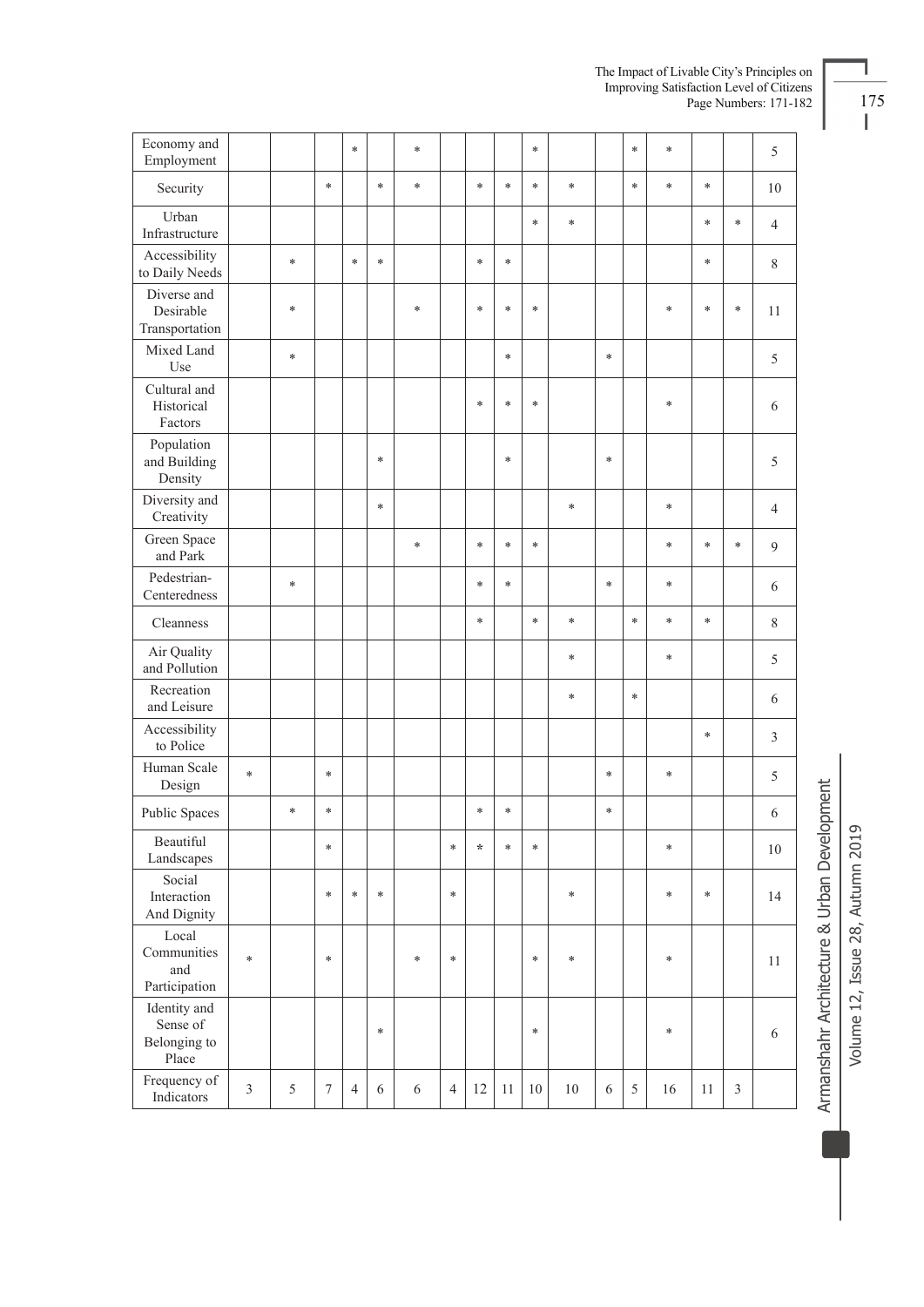| Economy and<br>Employment                         |                |        |                  | $\ast$         |            | $\ast$     |                |         |        | $\ast$ |        |            | $\ast$ | $\ast$ |        |                | 5              |
|---------------------------------------------------|----------------|--------|------------------|----------------|------------|------------|----------------|---------|--------|--------|--------|------------|--------|--------|--------|----------------|----------------|
| Security                                          |                |        | $\ast$           |                | $\ast$     | $\ast$     |                | $\ast$  | $\ast$ | $\ast$ | $\ast$ |            | $\ast$ | $\ast$ | $\ast$ |                | $10\,$         |
| Urban<br>Infrastructure                           |                |        |                  |                |            |            |                |         |        | $\ast$ | $\ast$ |            |        |        | $\ast$ | $\ast$         | $\overline{4}$ |
| Accessibility<br>to Daily Needs                   |                | $\ast$ |                  | $\ast$         | $\ast$     |            |                | $\ast$  | $\ast$ |        |        |            |        |        | $\ast$ |                | $\,$ $\,$      |
| Diverse and<br>Desirable<br>Transportation        |                | $\ast$ |                  |                |            | *          |                | *       | $\ast$ | $\ast$ |        |            |        | $\ast$ | $\ast$ | $\ast$         | 11             |
| Mixed Land<br>Use                                 |                | $\ast$ |                  |                |            |            |                |         | $\ast$ |        |        | $\ast$     |        |        |        |                | 5              |
| Cultural and<br>Historical<br>Factors             |                |        |                  |                |            |            |                | *       | $\ast$ | $\ast$ |        |            |        | $\ast$ |        |                | 6              |
| Population<br>and Building<br>Density             |                |        |                  |                | $\ast$     |            |                |         | $\ast$ |        |        | $\ast$     |        |        |        |                | 5              |
| Diversity and<br>Creativity                       |                |        |                  |                | $\ast$     |            |                |         |        |        | $\ast$ |            |        | $\ast$ |        |                | $\overline{4}$ |
| Green Space<br>and Park                           |                |        |                  |                |            | $\ast$     |                | $\ast$  | $\ast$ | $\ast$ |        |            |        | $\ast$ | $\ast$ | $\ast$         | 9              |
| Pedestrian-<br>Centeredness                       |                | $\ast$ |                  |                |            |            |                | $\ast$  | *      |        |        | $\ast$     |        | $\ast$ |        |                | 6              |
| Cleanness                                         |                |        |                  |                |            |            |                | $\ast$  |        | $\ast$ | $\ast$ |            | *      | *      | *      |                | $\,$ 8 $\,$    |
| Air Quality<br>and Pollution                      |                |        |                  |                |            |            |                |         |        |        | $\ast$ |            |        | $\ast$ |        |                | 5              |
| Recreation<br>and Leisure                         |                |        |                  |                |            |            |                |         |        |        | $\ast$ |            | $\ast$ |        |        |                | 6              |
| Accessibility<br>to Police                        |                |        |                  |                |            |            |                |         |        |        |        |            |        |        | $\ast$ |                | 3              |
| Human Scale<br>Design                             | $\ast$         |        | $\ast$           |                |            |            |                |         |        |        |        | $\ast$     |        | $\ast$ |        |                | 5              |
| Public Spaces                                     |                | $\ast$ | $\ast$           |                |            |            |                | $\ast$  | $\ast$ |        |        | $\ast$     |        |        |        |                | 6              |
| Beautiful<br>Landscapes                           |                |        | $\ast$           |                |            |            | $\ast$         | $\star$ | $\ast$ | $\ast$ |        |            |        | $\ast$ |        |                | $10\,$         |
| Social<br>Interaction<br>And Dignity              |                |        | $\ast$           | $\ast$         | $\ast$     |            | $\ast$         |         |        |        | $\ast$ |            |        | $\ast$ | $\ast$ |                | 14             |
| Local<br>Communities<br>and<br>Participation      | $\ast$         |        | $\ast$           |                |            | $\ast$     | $\ast$         |         |        | $\ast$ | $\ast$ |            |        | $\ast$ |        |                | 11             |
| Identity and<br>Sense of<br>Belonging to<br>Place |                |        |                  |                | $\ast$     |            |                |         |        | $\ast$ |        |            |        | $\ast$ |        |                | $\sqrt{6}$     |
| Frequency of<br>Indicators                        | $\mathfrak{Z}$ | 5      | $\boldsymbol{7}$ | $\overline{4}$ | $\sqrt{6}$ | $\sqrt{6}$ | $\overline{4}$ | 12      | 11     | 10     | $10\,$ | $\sqrt{6}$ | 5      | 16     | 11     | $\mathfrak{Z}$ |                |

The Impact of Livable City's Principles on Improving Satisfaction Level of Citizens<br>
Page Numbers: 171-182 175

Armanshahr Architecture & Urban Development Volume 12, Issue 28, Autumn 2019 Volume 12, Issue 28, Autumn 2019

Armanshahr Architecture & Urban Development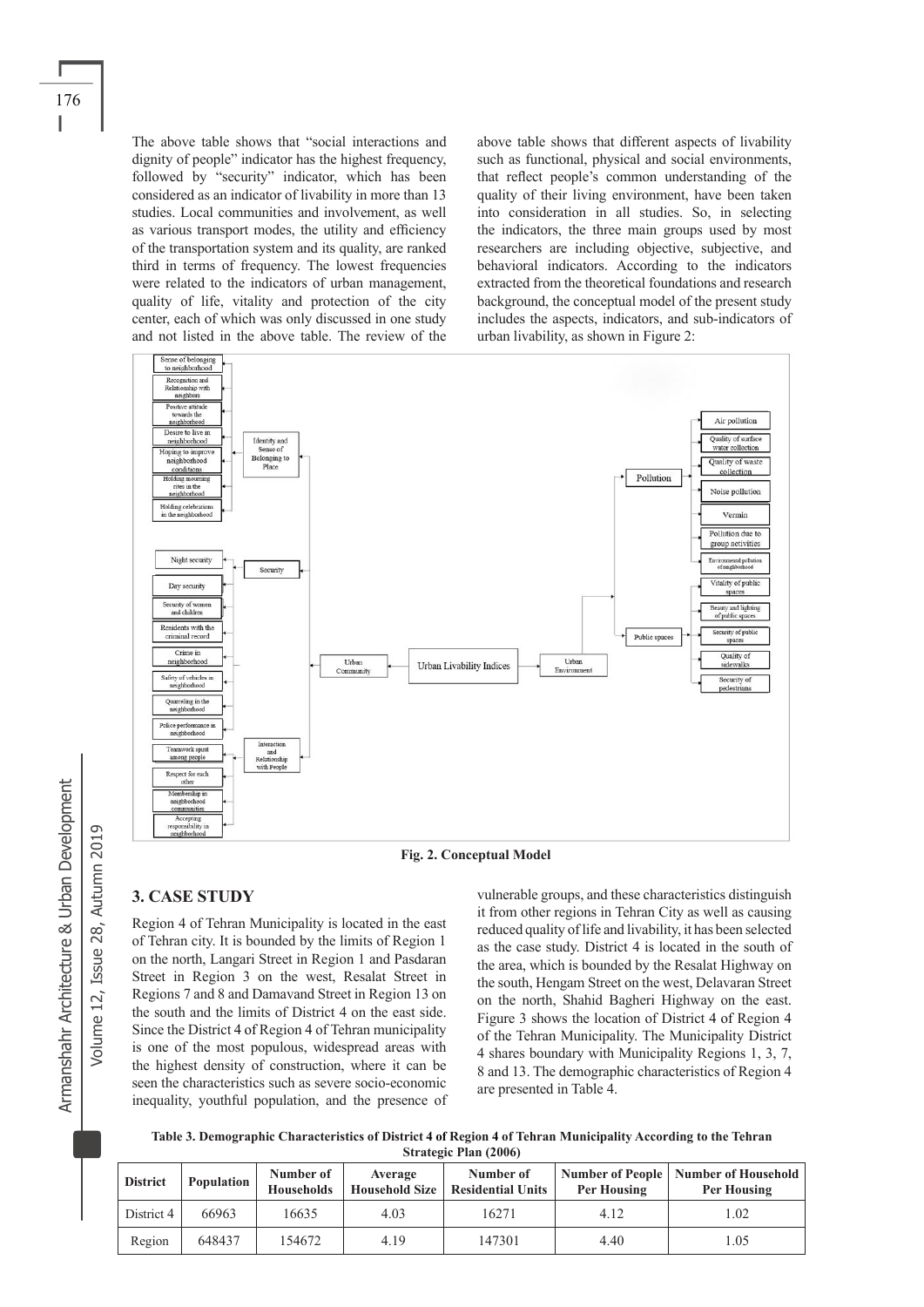The above table shows that "social interactions and dignity of people" indicator has the highest frequency, followed by "security" indicator, which has been considered as an indicator of livability in more than 13 studies. Local communities and involvement, as well as various transport modes, the utility and efficiency of the transportation system and its quality, are ranked third in terms of frequency. The lowest frequencies were related to the indicators of urban management, quality of life, vitality and protection of the city center, each of which was only discussed in one study and not listed in the above table. The review of the above table shows that different aspects of livability such as functional, physical and social environments, that reflect people's common understanding of the quality of their living environment, have been taken into consideration in all studies. So, in selecting the indicators, the three main groups used by most researchers are including objective, subjective, and behavioral indicators. According to the indicators extracted from the theoretical foundations and research background, the conceptual model of the present study includes the aspects, indicators, and sub-indicators of urban livability, as shown in Figure 2:





## **3. CASE STUDY**

Region 4 of Tehran Municipality is located in the east of Tehran city. It is bounded by the limits of Region 1 on the north, Langari Street in Region 1 and Pasdaran Street in Region 3 on the west, Resalat Street in Regions 7 and 8 and Damavand Street in Region 13 on the south and the limits of District 4 on the east side. Since the District 4 of Region 4 of Tehran municipality is one of the most populous, widespread areas with the highest density of construction, where it can be seen the characteristics such as severe socio-economic inequality, youthful population, and the presence of vulnerable groups, and these characteristics distinguish it from other regions in Tehran City as well as causing reduced quality of life and livability, it has been selected as the case study. District 4 is located in the south of the area, which is bounded by the Resalat Highway on the south, Hengam Street on the west, Delavaran Street on the north, Shahid Bagheri Highway on the east. Figure 3 shows the location of District 4 of Region 4 of the Tehran Municipality. The Municipality District 4 shares boundary with Municipality Regions 1, 3, 7, 8 and 13. The demographic characteristics of Region 4 are presented in Table 4.

**Table 3. Demographic Characteristics of District 4 of Region 4 of Tehran Municipality According to the Tehran Strategic Plan (2006)**

| <b>District</b> | <b>Population</b> | Number of<br><b>Households</b> | Average<br><b>Household Size</b> | Number of<br><b>Residential Units</b> | Per Housing | Number of People   Number of Household<br>Per Housing |
|-----------------|-------------------|--------------------------------|----------------------------------|---------------------------------------|-------------|-------------------------------------------------------|
| District 4      | 66963             | 16635                          | 4.03                             | 16271                                 | 4.12        | 0.02                                                  |
| Region          | 648437            | 154672                         | 4.19                             | 147301                                | 4.40        | .05                                                   |

Volume 12, Issue 28, Autumn 2019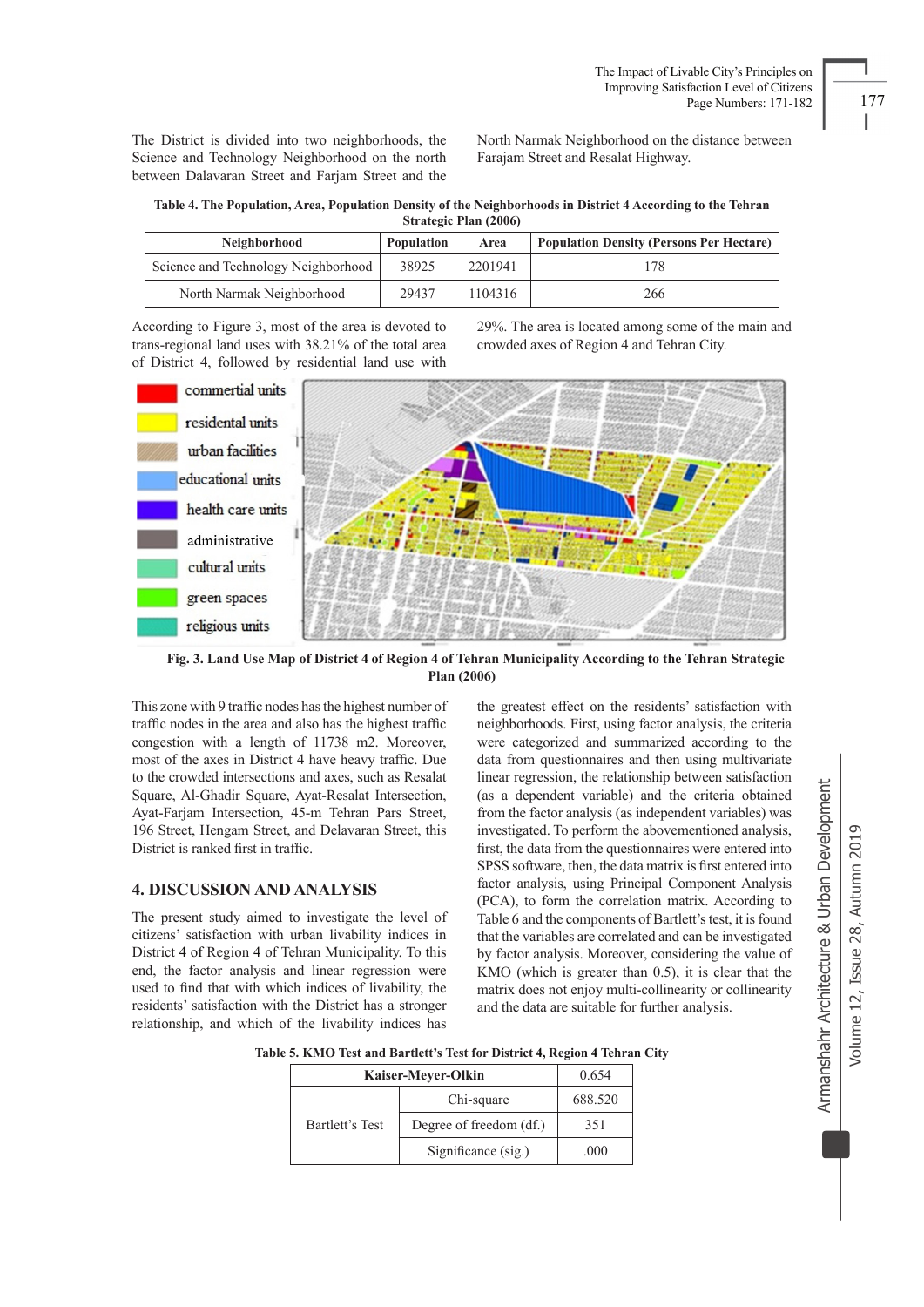The District is divided into two neighborhoods, the Science and Technology Neighborhood on the north between Dalavaran Street and Farjam Street and the North Narmak Neighborhood on the distance between Farajam Street and Resalat Highway.

**Table 4. The Population, Area, Population Density of the Neighborhoods in District 4 According to the Tehran Strategic Plan (2006)**

| Neighborhood                        | Population | Area    | <b>Population Density (Persons Per Hectare)</b> |
|-------------------------------------|------------|---------|-------------------------------------------------|
| Science and Technology Neighborhood | 38925      | 2201941 | 178                                             |
| North Narmak Neighborhood           | 29437      | 1104316 | 266                                             |

According to Figure 3, most of the area is devoted to trans-regional land uses with 38.21% of the total area of District 4, followed by residential land use with 29%. The area is located among some of the main and crowded axes of Region 4 and Tehran City.



 **Fig. 3. Land Use Map of District 4 of Region 4 of Tehran Municipality According to the Tehran Strategic Plan (2006)** 

This zone with 9 traffic nodes has the highest number of traffic nodes in the area and also has the highest traffic congestion with a length of 11738 m2. Moreover, most of the axes in District 4 have heavy traffic. Due to the crowded intersections and axes, such as Resalat Square, Al-Ghadir Square, Ayat-Resalat Intersection, Ayat-Farjam Intersection, 45-m Tehran Pars Street, 196 Street, Hengam Street, and Delavaran Street, this District is ranked first in traffic.

#### **4. DISCUSSION AND ANALYSIS**

The present study aimed to investigate the level of citizens' satisfaction with urban livability indices in District 4 of Region 4 of Tehran Municipality. To this end, the factor analysis and linear regression were used to find that with which indices of livability, the residents' satisfaction with the District has a stronger relationship, and which of the livability indices has

the greatest effect on the residents' satisfaction with neighborhoods. First, using factor analysis, the criteria were categorized and summarized according to the data from questionnaires and then using multivariate linear regression, the relationship between satisfaction (as a dependent variable) and the criteria obtained from the factor analysis (as independent variables) was investigated. To perform the abovementioned analysis, first, the data from the questionnaires were entered into SPSS software, then, the data matrix is first entered into factor analysis, using Principal Component Analysis (PCA), to form the correlation matrix. According to Table 6 and the components of Bartlett's test, it is found that the variables are correlated and can be investigated by factor analysis. Moreover, considering the value of KMO (which is greater than 0.5), it is clear that the matrix does not enjoy multi-collinearity or collinearity and the data are suitable for further analysis.

**Table 5. KMO Test and Bartlett's Test for District 4, Region 4 Tehran City**

| Kaiser-Meyer-Olkin | 0.654                   |         |
|--------------------|-------------------------|---------|
| Bartlett's Test    | Chi-square              | 688.520 |
|                    | Degree of freedom (df.) | 351     |
|                    | Significance (sig.)     | .000    |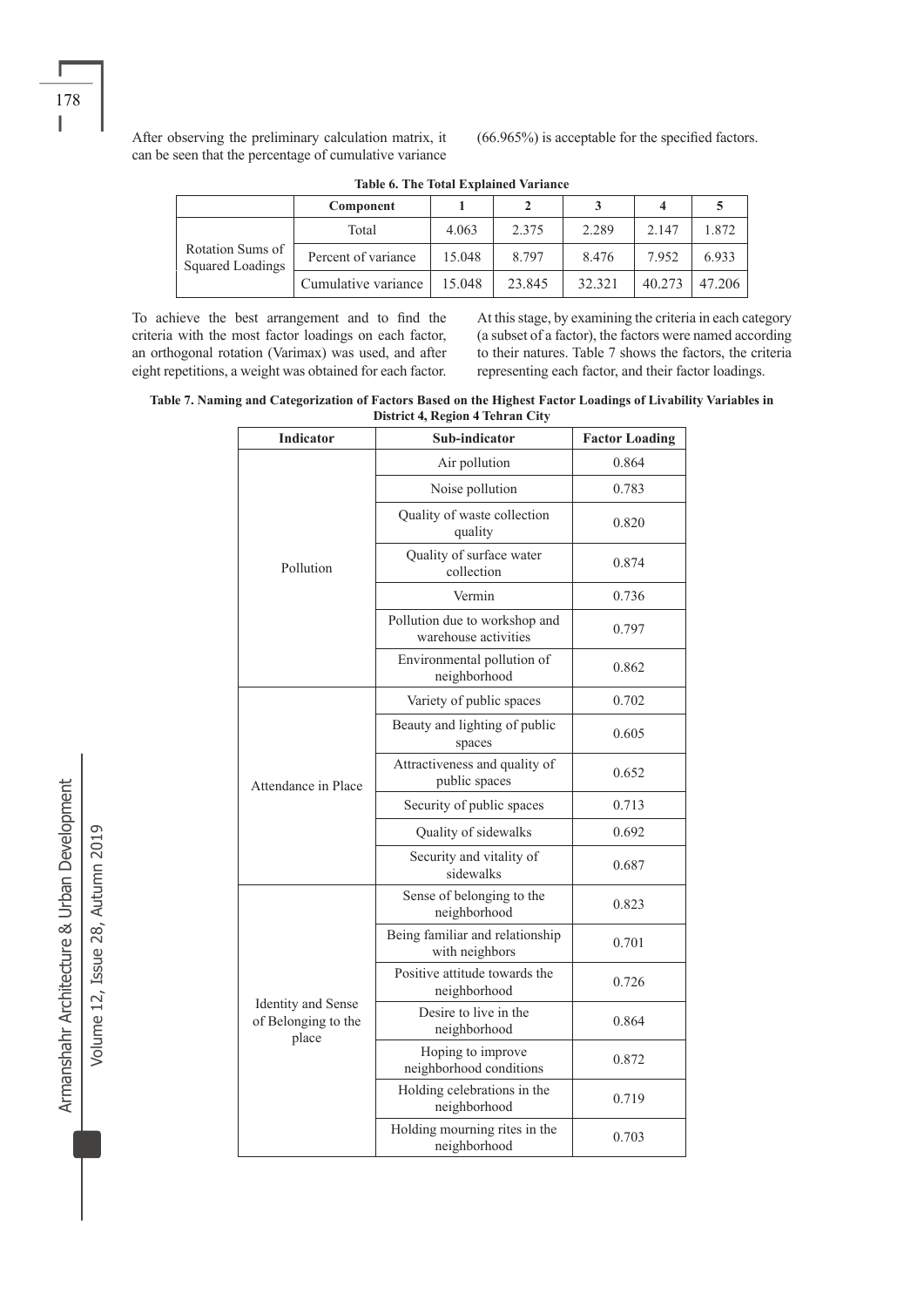After observing the preliminary calculation matrix, it can be seen that the percentage of cumulative variance (66.965%) is acceptable for the specified factors.

|                                      | Component           |        |         |        |        |        |
|--------------------------------------|---------------------|--------|---------|--------|--------|--------|
| Rotation Sums of<br>Squared Loadings | Total               | 4.063  | 2.375   | 2.289  | 2.147  | 872    |
|                                      | Percent of variance | 15.048 | 8 7 9 7 | 8.476  | 7.952  | 6.933  |
|                                      | Cumulative variance | 15.048 | 23.845  | 32.321 | 40.273 | 47 206 |

**Table 6. The Total Explained Variance**

To achieve the best arrangement and to find the criteria with the most factor loadings on each factor, an orthogonal rotation (Varimax) was used, and after eight repetitions, a weight was obtained for each factor. At this stage, by examining the criteria in each category (a subset of a factor), the factors were named according to their natures. Table 7 shows the factors, the criteria representing each factor, and their factor loadings.

**Table 7. Naming and Categorization of Factors Based on the Highest Factor Loadings of Livability Variables in District 4, Region 4 Tehran City**

| <b>Indicator</b>                                          | Sub-indicator                                         | <b>Factor Loading</b> |  |  |
|-----------------------------------------------------------|-------------------------------------------------------|-----------------------|--|--|
|                                                           | Air pollution                                         | 0.864                 |  |  |
|                                                           | Noise pollution                                       | 0.783                 |  |  |
|                                                           | Quality of waste collection<br>quality                | 0.820                 |  |  |
| Pollution                                                 | Quality of surface water<br>collection                | 0.874                 |  |  |
|                                                           | Vermin                                                | 0.736                 |  |  |
|                                                           | Pollution due to workshop and<br>warehouse activities | 0.797                 |  |  |
|                                                           | Environmental pollution of<br>neighborhood            | 0.862                 |  |  |
| Attendance in Place                                       | Variety of public spaces                              | 0.702                 |  |  |
|                                                           | Beauty and lighting of public<br>spaces               | 0.605                 |  |  |
|                                                           | Attractiveness and quality of<br>public spaces        | 0.652                 |  |  |
|                                                           | Security of public spaces                             | 0.713                 |  |  |
|                                                           | Quality of sidewalks                                  | 0.692                 |  |  |
|                                                           | Security and vitality of<br>sidewalks                 | 0.687                 |  |  |
|                                                           | Sense of belonging to the<br>neighborhood             | 0.823                 |  |  |
|                                                           | Being familiar and relationship<br>with neighbors     | 0.701                 |  |  |
|                                                           | Positive attitude towards the<br>neighborhood         | 0.726                 |  |  |
| <b>Identity</b> and Sense<br>of Belonging to the<br>place | Desire to live in the<br>neighborhood                 | 0.864                 |  |  |
|                                                           | Hoping to improve<br>neighborhood conditions          | 0.872                 |  |  |
|                                                           | Holding celebrations in the<br>neighborhood           | 0.719                 |  |  |
|                                                           | Holding mourning rites in the<br>neighborhood         | 0.703                 |  |  |

Armanshahr Architecture & Urban Development Armanshahr Architecture & Urban Development Volume 12, Issue 28, Autumn 2019 Volume 12, Issue 28, Autumn 2019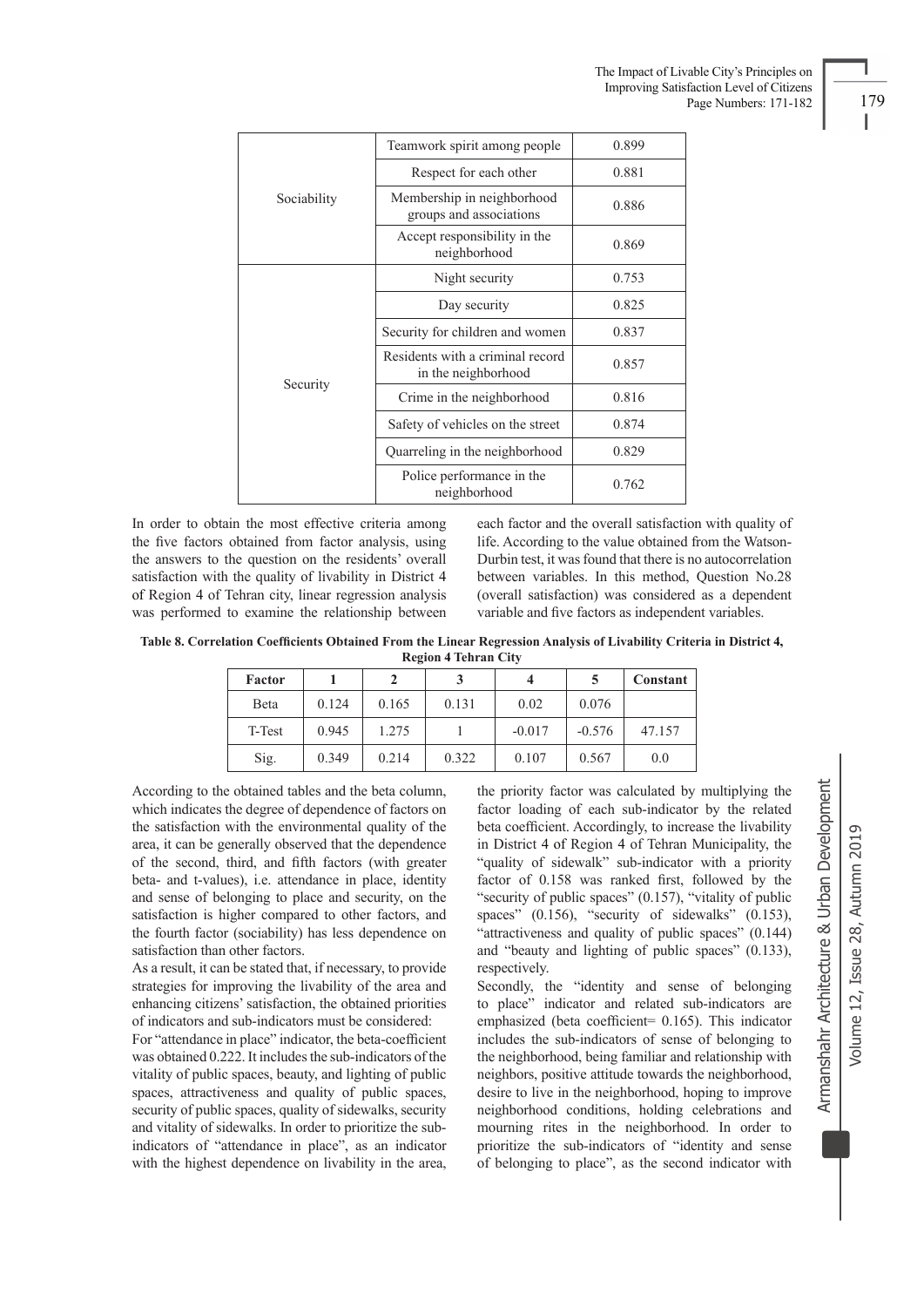|             | Teamwork spirit among people                            | 0.899 |
|-------------|---------------------------------------------------------|-------|
| Sociability | Respect for each other                                  | 0.881 |
|             | Membership in neighborhood<br>groups and associations   | 0.886 |
|             | Accept responsibility in the<br>neighborhood            | 0.869 |
|             | Night security                                          | 0.753 |
|             | Day security                                            | 0.825 |
|             | Security for children and women                         | 0.837 |
| Security    | Residents with a criminal record<br>in the neighborhood | 0.857 |
|             | Crime in the neighborhood                               | 0.816 |
|             | Safety of vehicles on the street                        | 0.874 |
|             | Quarreling in the neighborhood                          | 0.829 |
|             | Police performance in the<br>neighborhood               | 0.762 |

In order to obtain the most effective criteria among the five factors obtained from factor analysis, using the answers to the question on the residents' overall satisfaction with the quality of livability in District 4 of Region 4 of Tehran city, linear regression analysis was performed to examine the relationship between each factor and the overall satisfaction with quality of life. According to the value obtained from the Watson-Durbin test, it was found that there is no autocorrelation between variables. In this method, Question No.28 (overall satisfaction) was considered as a dependent variable and five factors as independent variables.

**Table 8. Correlation Coefficients Obtained From the Linear Regression Analysis of Livability Criteria in District 4, Region 4 Tehran City**

| Factor |       | 2     |       | 4        |          | Constant |
|--------|-------|-------|-------|----------|----------|----------|
| Beta   | 0.124 | 0.165 | 0.131 | 0.02     | 0.076    |          |
| T-Test | 0.945 | 1.275 |       | $-0.017$ | $-0.576$ | 47.157   |
| Sig.   | 0.349 | 0.214 | 0.322 | 0.107    | 0.567    | 0.0      |

According to the obtained tables and the beta column, which indicates the degree of dependence of factors on the satisfaction with the environmental quality of the area, it can be generally observed that the dependence of the second, third, and fifth factors (with greater beta- and t-values), i.e. attendance in place, identity and sense of belonging to place and security, on the satisfaction is higher compared to other factors, and the fourth factor (sociability) has less dependence on satisfaction than other factors.

As a result, it can be stated that, if necessary, to provide strategies for improving the livability of the area and enhancing citizens' satisfaction, the obtained priorities of indicators and sub-indicators must be considered:

For "attendance in place" indicator, the beta-coefficient was obtained 0.222. It includes the sub-indicators of the vitality of public spaces, beauty, and lighting of public spaces, attractiveness and quality of public spaces, security of public spaces, quality of sidewalks, security and vitality of sidewalks. In order to prioritize the subindicators of "attendance in place", as an indicator with the highest dependence on livability in the area,

the priority factor was calculated by multiplying the factor loading of each sub-indicator by the related beta coefficient. Accordingly, to increase the livability in District 4 of Region 4 of Tehran Municipality, the "quality of sidewalk" sub-indicator with a priority factor of 0.158 was ranked first, followed by the "security of public spaces" (0.157), "vitality of public spaces" (0.156), "security of sidewalks" (0.153), "attractiveness and quality of public spaces" (0.144) and "beauty and lighting of public spaces" (0.133), respectively.

Secondly, the "identity and sense of belonging to place" indicator and related sub-indicators are emphasized (beta coefficient= 0.165). This indicator includes the sub-indicators of sense of belonging to the neighborhood, being familiar and relationship with neighbors, positive attitude towards the neighborhood, desire to live in the neighborhood, hoping to improve neighborhood conditions, holding celebrations and mourning rites in the neighborhood. In order to prioritize the sub-indicators of "identity and sense of belonging to place", as the second indicator with

Armanshahr Architecture & Urban Development

I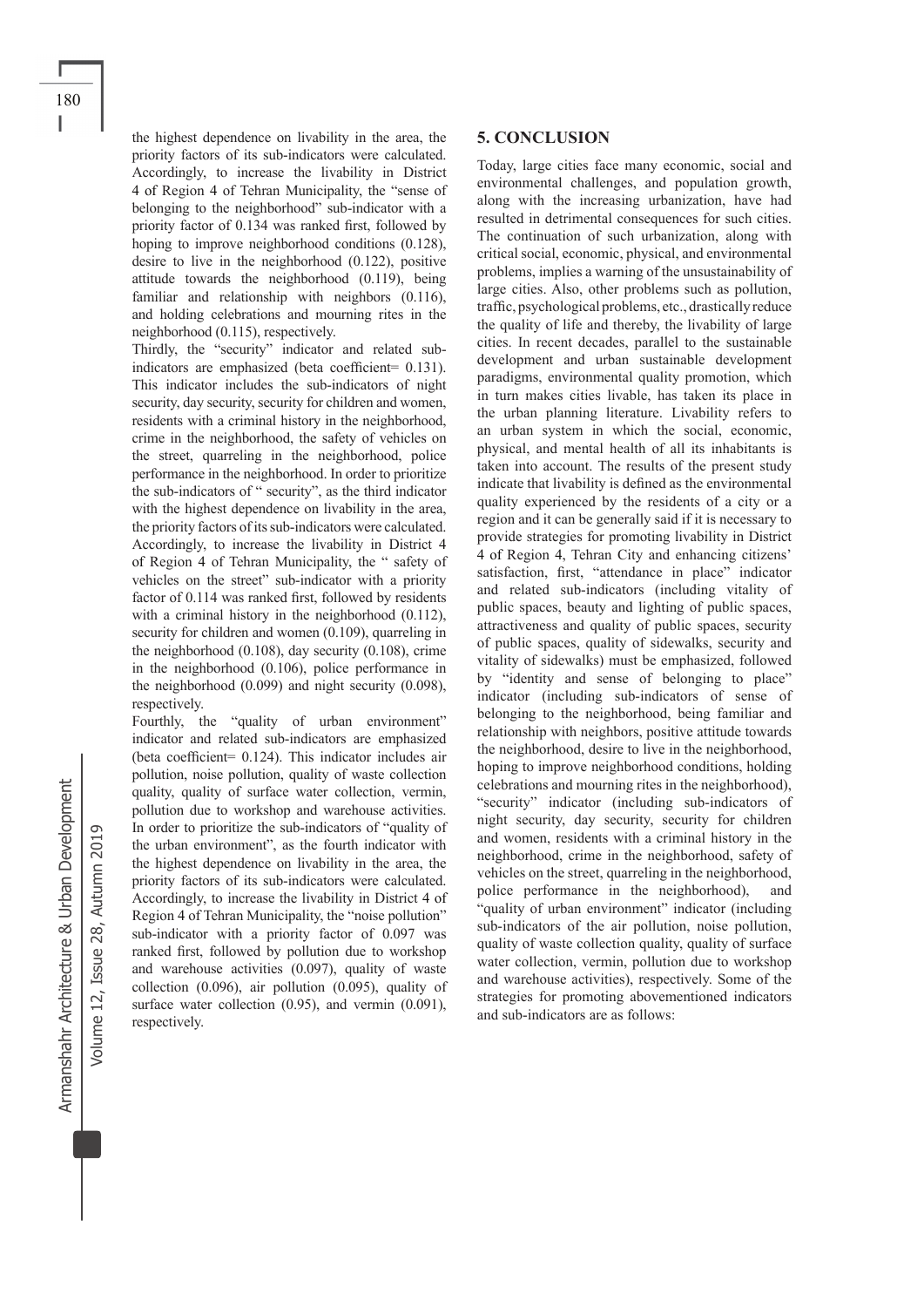the highest dependence on livability in the area, the priority factors of its sub-indicators were calculated. Accordingly, to increase the livability in District 4 of Region 4 of Tehran Municipality, the "sense of belonging to the neighborhood" sub-indicator with a priority factor of 0.134 was ranked first, followed by hoping to improve neighborhood conditions (0.128), desire to live in the neighborhood (0.122), positive attitude towards the neighborhood (0.119), being familiar and relationship with neighbors (0.116), and holding celebrations and mourning rites in the neighborhood (0.115), respectively.

Thirdly, the "security" indicator and related subindicators are emphasized (beta coefficient= 0.131). This indicator includes the sub-indicators of night security, day security, security for children and women, residents with a criminal history in the neighborhood, crime in the neighborhood, the safety of vehicles on the street, quarreling in the neighborhood, police performance in the neighborhood. In order to prioritize the sub-indicators of " security", as the third indicator with the highest dependence on livability in the area, the priority factors of its sub-indicators were calculated. Accordingly, to increase the livability in District 4 of Region 4 of Tehran Municipality, the " safety of vehicles on the street" sub-indicator with a priority factor of 0.114 was ranked first, followed by residents with a criminal history in the neighborhood  $(0.112)$ , security for children and women  $(0.109)$ , quarreling in the neighborhood (0.108), day security (0.108), crime in the neighborhood (0.106), police performance in the neighborhood (0.099) and night security (0.098), respectively.

Fourthly, the "quality of urban environment" indicator and related sub-indicators are emphasized (beta coefficient= 0.124). This indicator includes air pollution, noise pollution, quality of waste collection quality, quality of surface water collection, vermin, pollution due to workshop and warehouse activities. In order to prioritize the sub-indicators of "quality of the urban environment", as the fourth indicator with the highest dependence on livability in the area, the priority factors of its sub-indicators were calculated. Accordingly, to increase the livability in District 4 of Region 4 of Tehran Municipality, the "noise pollution" sub-indicator with a priority factor of 0.097 was ranked first, followed by pollution due to workshop and warehouse activities (0.097), quality of waste collection (0.096), air pollution (0.095), quality of surface water collection  $(0.95)$ , and vermin  $(0.091)$ , respectively.

#### **5. CONCLUSION**

Today, large cities face many economic, social and environmental challenges, and population growth, along with the increasing urbanization, have had resulted in detrimental consequences for such cities. The continuation of such urbanization, along with critical social, economic, physical, and environmental problems, implies a warning of the unsustainability of large cities. Also, other problems such as pollution, traffic, psychological problems, etc., drastically reduce the quality of life and thereby, the livability of large cities. In recent decades, parallel to the sustainable development and urban sustainable development paradigms, environmental quality promotion, which in turn makes cities livable, has taken its place in the urban planning literature. Livability refers to an urban system in which the social, economic, physical, and mental health of all its inhabitants is taken into account. The results of the present study indicate that livability is defined as the environmental quality experienced by the residents of a city or a region and it can be generally said if it is necessary to provide strategies for promoting livability in District 4 of Region 4, Tehran City and enhancing citizens' satisfaction, first, "attendance in place" indicator and related sub-indicators (including vitality of public spaces, beauty and lighting of public spaces, attractiveness and quality of public spaces, security of public spaces, quality of sidewalks, security and vitality of sidewalks) must be emphasized, followed by "identity and sense of belonging to place" indicator (including sub-indicators of sense of belonging to the neighborhood, being familiar and relationship with neighbors, positive attitude towards the neighborhood, desire to live in the neighborhood, hoping to improve neighborhood conditions, holding celebrations and mourning rites in the neighborhood), "security" indicator (including sub-indicators of night security, day security, security for children and women, residents with a criminal history in the neighborhood, crime in the neighborhood, safety of vehicles on the street, quarreling in the neighborhood, police performance in the neighborhood), and "quality of urban environment" indicator (including sub-indicators of the air pollution, noise pollution, quality of waste collection quality, quality of surface water collection, vermin, pollution due to workshop and warehouse activities), respectively. Some of the strategies for promoting abovementioned indicators and sub-indicators are as follows:

Volume 12, Issue 28, Autumn 2019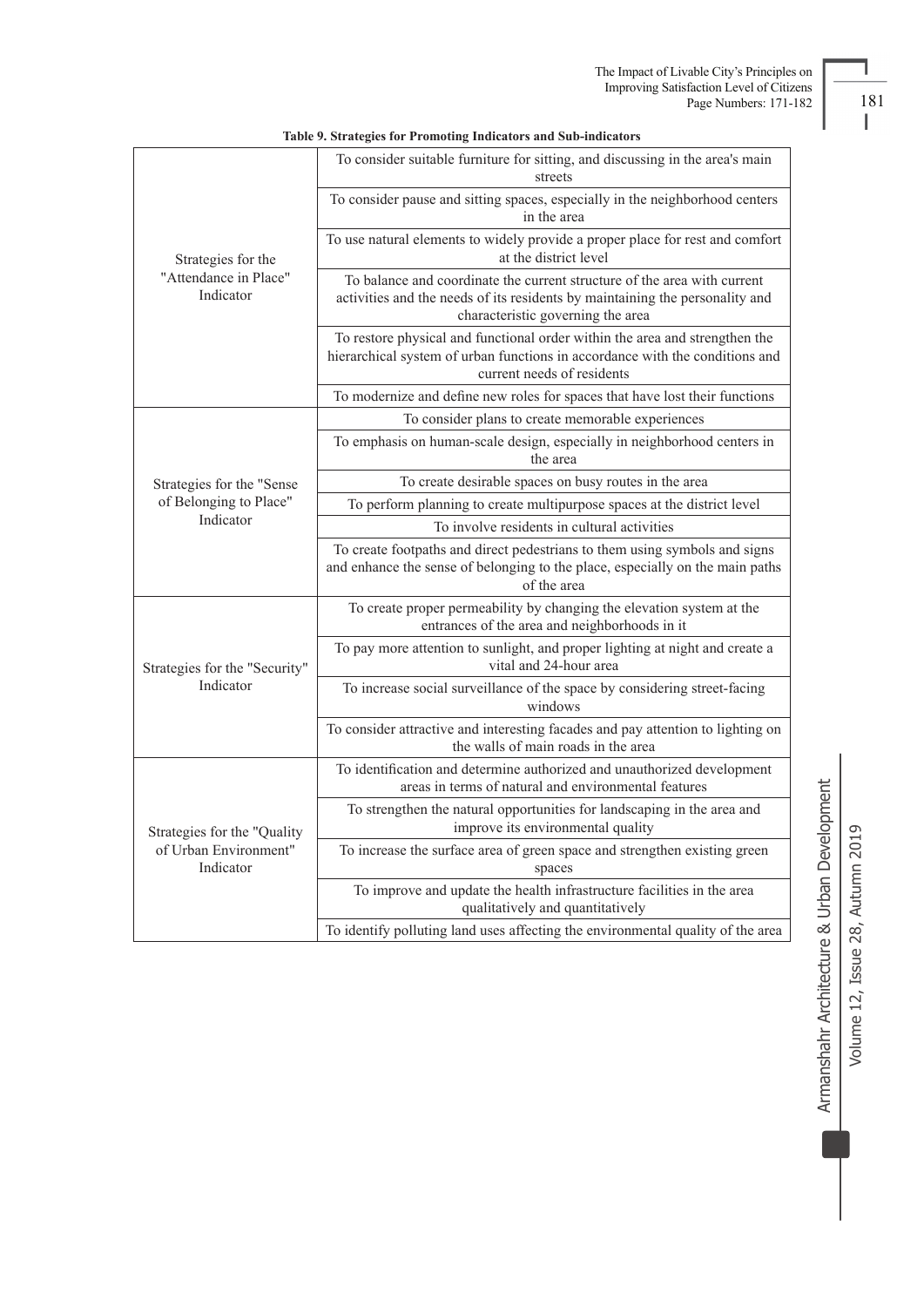|                                                          | To consider suitable furniture for sitting, and discussing in the area's main<br>streets                                                                                                      |  |  |  |  |  |
|----------------------------------------------------------|-----------------------------------------------------------------------------------------------------------------------------------------------------------------------------------------------|--|--|--|--|--|
|                                                          | To consider pause and sitting spaces, especially in the neighborhood centers<br>in the area                                                                                                   |  |  |  |  |  |
| Strategies for the<br>"Attendance in Place"<br>Indicator | To use natural elements to widely provide a proper place for rest and comfort<br>at the district level                                                                                        |  |  |  |  |  |
|                                                          | To balance and coordinate the current structure of the area with current<br>activities and the needs of its residents by maintaining the personality and<br>characteristic governing the area |  |  |  |  |  |
|                                                          | To restore physical and functional order within the area and strengthen the<br>hierarchical system of urban functions in accordance with the conditions and<br>current needs of residents     |  |  |  |  |  |
|                                                          | To modernize and define new roles for spaces that have lost their functions                                                                                                                   |  |  |  |  |  |
|                                                          | To consider plans to create memorable experiences                                                                                                                                             |  |  |  |  |  |
|                                                          | To emphasis on human-scale design, especially in neighborhood centers in<br>the area                                                                                                          |  |  |  |  |  |
| Strategies for the "Sense                                | To create desirable spaces on busy routes in the area                                                                                                                                         |  |  |  |  |  |
| of Belonging to Place"                                   | To perform planning to create multipurpose spaces at the district level                                                                                                                       |  |  |  |  |  |
| Indicator                                                | To involve residents in cultural activities                                                                                                                                                   |  |  |  |  |  |
|                                                          | To create footpaths and direct pedestrians to them using symbols and signs<br>and enhance the sense of belonging to the place, especially on the main paths<br>of the area                    |  |  |  |  |  |
|                                                          | To create proper permeability by changing the elevation system at the<br>entrances of the area and neighborhoods in it                                                                        |  |  |  |  |  |
| Strategies for the "Security"                            | To pay more attention to sunlight, and proper lighting at night and create a<br>vital and 24-hour area                                                                                        |  |  |  |  |  |
| Indicator                                                | To increase social surveillance of the space by considering street-facing<br>windows                                                                                                          |  |  |  |  |  |
|                                                          | To consider attractive and interesting facades and pay attention to lighting on<br>the walls of main roads in the area                                                                        |  |  |  |  |  |
|                                                          | To identification and determine authorized and unauthorized development<br>areas in terms of natural and environmental features                                                               |  |  |  |  |  |
| Strategies for the "Quality                              | To strengthen the natural opportunities for landscaping in the area and<br>improve its environmental quality                                                                                  |  |  |  |  |  |
| of Urban Environment"<br>Indicator                       | To increase the surface area of green space and strengthen existing green<br>spaces                                                                                                           |  |  |  |  |  |
|                                                          | To improve and update the health infrastructure facilities in the area<br>qualitatively and quantitatively                                                                                    |  |  |  |  |  |
|                                                          | To identify polluting land uses affecting the environmental quality of the area                                                                                                               |  |  |  |  |  |

#### **Table 9. Strategies for Promoting Indicators and Sub-indicators**